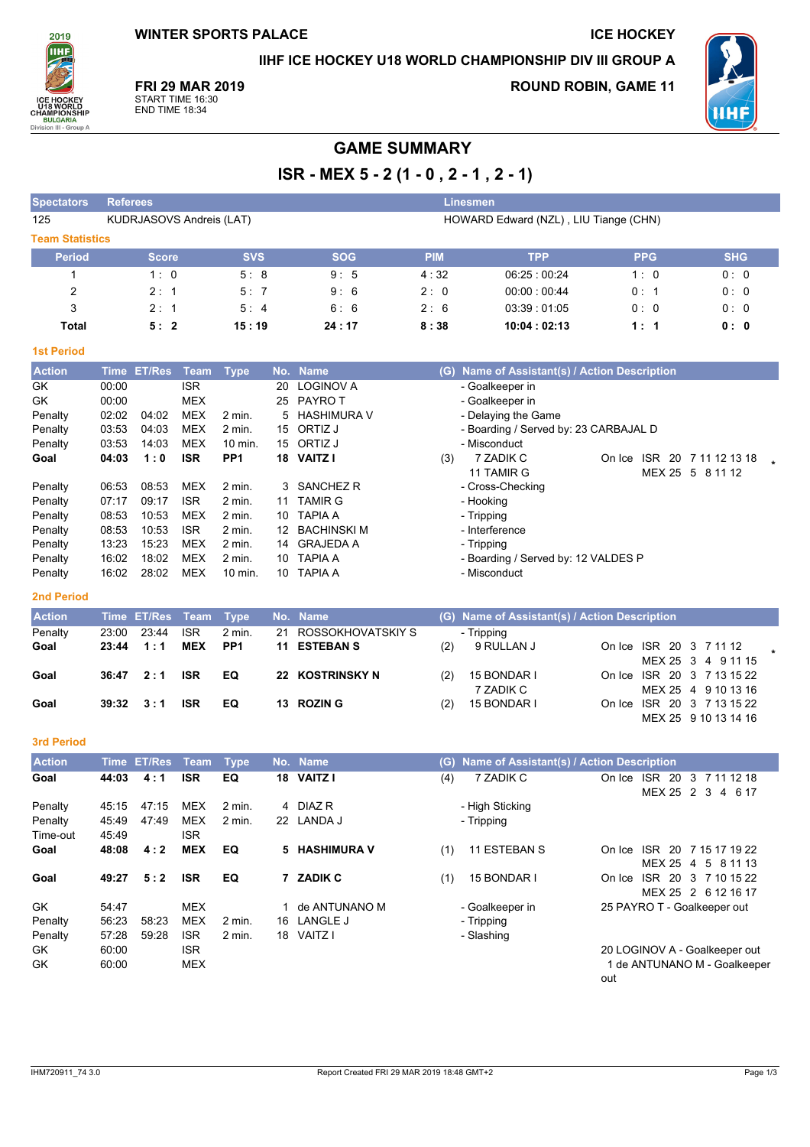**WINTER SPORTS PALACE** 

**ICE HOCKEY** 

IIHF ICE HOCKEY U18 WORLD CHAMPIONSHIP DIV III GROUP A

ÎІНI **BULG** Division III - Gr

2019

**FRI 29 MAR 2019** 

START TIME 16:30<br>END TIME 18:34

**ROUND ROBIN, GAME 11** 



# **GAME SUMMARY**

ISR - MEX 5 - 2 (1 - 0, 2 - 1, 2 - 1)

| <b>Spectators</b>      | <b>Referees</b>                 |            |            | <b>Linesmen</b> |                                       |            |            |
|------------------------|---------------------------------|------------|------------|-----------------|---------------------------------------|------------|------------|
| 125                    | <b>KUDRJASOVS Andreis (LAT)</b> |            |            |                 | HOWARD Edward (NZL), LIU Tiange (CHN) |            |            |
| <b>Team Statistics</b> |                                 |            |            |                 |                                       |            |            |
| <b>Period</b>          | <b>Score</b>                    | <b>SVS</b> | <b>SOG</b> | <b>PIM</b>      | <b>TPP</b>                            | <b>PPG</b> | <b>SHG</b> |
|                        | 1:0                             | 5:8        | 9:5        | 4:32            | 06:25:00:24                           | 1:0        | 0:0        |
| 2                      | 2:1                             | 5:7        | 9:6        | 2:0             | 00:00:00:44                           | 0:1        | 0:0        |
| 3                      | 2:1                             | 5:4        | 6:6        | 2:6             | 03:39:01:05                           | 0:0        | 0:0        |
| Total                  | 5:2                             | 15:19      | 24:17      | 8:38            | 10:04:02:13                           | 1:1        | 0:0        |

### **1st Period**

| <b>Action</b> | Time  | <b>ET/Res</b> | Team       | Type            | No. | <b>Name</b>      | Name of Assistant(s) / Action Description<br>(G)                |
|---------------|-------|---------------|------------|-----------------|-----|------------------|-----------------------------------------------------------------|
| GK            | 00:00 |               | <b>ISR</b> |                 | 20  | <b>LOGINOV A</b> | - Goalkeeper in                                                 |
| GK            | 00:00 |               | <b>MEX</b> |                 | 25  | PAYRO T          | - Goalkeeper in                                                 |
| Penalty       | 02:02 | 04:02         | <b>MEX</b> | $2$ min.        | 5   | HASHIMURA V      | - Delaying the Game                                             |
| Penalty       | 03:53 | 04:03         | <b>MEX</b> | $2$ min.        | 15  | ORTIZ J          | - Boarding / Served by: 23 CARBAJAL D                           |
| Penalty       | 03:53 | 14:03         | <b>MEX</b> | 10 min.         |     | 15 ORTIZ J       | - Misconduct                                                    |
| Goal          | 04:03 | 1:0           | <b>ISR</b> | PP <sub>1</sub> | 18  | <b>VAITZ I</b>   | 7 ZADIK C<br><b>ISR</b><br>20<br>(3)<br>7 11 12 13 18<br>On Ice |
|               |       |               |            |                 |     |                  | 11 TAMIR G<br>MEX 25<br>5<br>8 11 12                            |
| Penalty       | 06.53 | 08:53         | MEX        | $2$ min.        |     | 3 SANCHEZ R      | - Cross-Checking                                                |
| Penalty       | 07:17 | 09:17         | <b>ISR</b> | $2$ min.        | 11  | <b>TAMIR G</b>   | - Hooking                                                       |
| Penalty       | 08:53 | 10:53         | <b>MEX</b> | $2$ min.        | 10  | <b>TAPIA A</b>   | - Tripping                                                      |
| Penalty       | 08:53 | 10:53         | <b>ISR</b> | $2$ min.        | 12  | BACHINSKI M      | - Interference                                                  |
| Penalty       | 13:23 | 15:23         | <b>MEX</b> | $2$ min.        | 14  | <b>GRAJEDA A</b> | - Tripping                                                      |
| Penalty       | 16:02 | 18:02         | <b>MEX</b> | $2$ min.        | 10  | <b>TAPIA A</b>   | - Boarding / Served by: 12 VALDES P                             |
| Penalty       | 16:02 | 28:02         | <b>MEX</b> | 10 min.         | 10  | <b>TAPIA A</b>   | - Misconduct                                                    |

| __ | $\sim$ |  |
|----|--------|--|

| <b>Action</b> |       | Time ET/Res Team Type |            |                 | No. Name             |     | (G) Name of Assistant(s) / Action Description |                            |  |
|---------------|-------|-----------------------|------------|-----------------|----------------------|-----|-----------------------------------------------|----------------------------|--|
| Penalty       | 23:00 | 23:44                 | <b>ISR</b> | 2 min.          | 21 ROSSOKHOVATSKIY S |     | - Tripping                                    |                            |  |
| Goal          |       | $23:44$ 1:1           | <b>MEX</b> | PP <sub>1</sub> | 11 ESTEBAN S         | (2) | 9 RULLAN J                                    | On Ice ISR 20 3 7 11 12    |  |
|               |       |                       |            |                 |                      |     |                                               | MEX 25 3 4 9 11 15         |  |
| Goal          | 36:47 | 2:1                   | <b>ISR</b> | EQ              | 22 KOSTRINSKY N      | (2) | 15 BONDAR I                                   | On Ice ISR 20 3 7 13 15 22 |  |
|               |       |                       |            |                 |                      |     | 7 ZADIK C                                     | MEX 25 4 9 10 13 16        |  |
| Goal          |       | $39:32 \quad 3:1$     | <b>ISR</b> | EQ              | 13 ROZIN G           | (2) | 15 BONDAR I                                   | On Ice ISR 20 3 7 13 15 22 |  |
|               |       |                       |            |                 |                      |     |                                               | MEX 25 9 10 13 14 16       |  |

## 3rd Period

| <b>Action</b> | <b>Time</b> | ET/Res | Team       | <b>Type</b> |    | No. Name           | Name of Assistant(s) / Action Description<br>(G) |                                                                       |
|---------------|-------------|--------|------------|-------------|----|--------------------|--------------------------------------------------|-----------------------------------------------------------------------|
| Goal          | 44:03       | 4:1    | <b>ISR</b> | EQ          | 18 | <b>VAITZ I</b>     | (4)<br>7 ZADIK C                                 | <b>ISR</b><br>On Ice<br>20<br>3<br>7 11 12 18<br>MEX 25 2 3<br>4 6 17 |
| Penalty       | 45:15       | 47:15  | <b>MEX</b> | $2$ min.    |    | 4 DIAZ R           | - High Sticking                                  |                                                                       |
| Penalty       | 45.49       | 47:49  | <b>MEX</b> | $2$ min.    | 22 | LANDA J            | - Tripping                                       |                                                                       |
| Time-out      | 45:49       |        | <b>ISR</b> |             |    |                    |                                                  |                                                                       |
| Goal          | 48:08       | 4:2    | <b>MEX</b> | EQ          | 5. | <b>HASHIMURA V</b> | 11 ESTEBAN S<br>(1)                              | ISR.<br>20 7 15 17 19 22<br>On Ice<br>MEX 25 4<br>5 8 1 1 1 3         |
| Goal          | 49:27       | 5:2    | <b>ISR</b> | EQ          |    | 7 ZADIK C          | 15 BONDAR I<br>(1)                               | <b>ISR</b><br>20 3 7 10 15 22<br>On Ice<br>MEX 25 2 6 12 16 17        |
| <b>GK</b>     | 54:47       |        | <b>MEX</b> |             |    | de ANTUNANO M      | - Goalkeeper in                                  | 25 PAYRO T - Goalkeeper out                                           |
| Penalty       | 56.23       | 58.23  | <b>MEX</b> | $2$ min.    | 16 | <b>LANGLE J</b>    | - Tripping                                       |                                                                       |
| Penalty       | 57:28       | 59:28  | <b>ISR</b> | 2 min.      | 18 | VAITZ I            | - Slashing                                       |                                                                       |
| GK            | 60:00       |        | <b>ISR</b> |             |    |                    |                                                  | 20 LOGINOV A - Goalkeeper out                                         |
| GK            | 60:00       |        | <b>MEX</b> |             |    |                    |                                                  | 1 de ANTUNANO M - Goalkeeper<br>out                                   |

IHM720911\_74 3.0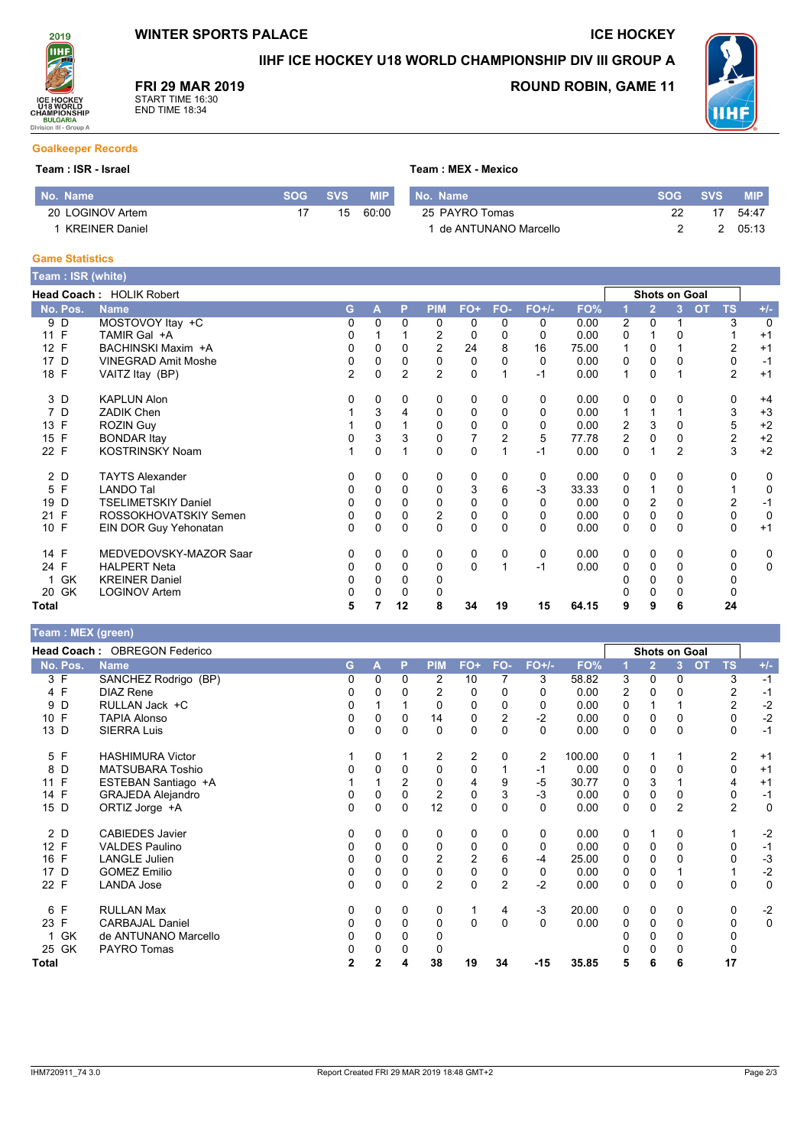

**ICE HOCKEY** 

IIHF ICE HOCKEY U18 WORLD CHAMPIONSHIP DIV III GROUP A

Team: MEX - Mexico

**FRI 29 MAR 2019** 



**ROUND ROBIN, GAME 11** 



# **Goalkeeper Records**

#### Team : ISR - Israel

2019 ÎІНI

ICE HOCKEY<br>U18 WORLD<br>CHAMPIONSHIP<br>BULGARIA<br>Division III - Group A

| l No. Name'                  | SOG | <b>SVS</b> | <b>MIP</b> | <b>Name</b><br>۱No.  | SOG | <b>SVS</b> | <b>MIP</b> |
|------------------------------|-----|------------|------------|----------------------|-----|------------|------------|
| <b>LOGINOV Artem</b><br>20 L |     |            | 60.OC      | 25 PAYRO Tomas       |     |            | 54:47      |
| <b>KREINER Daniel</b>        |     |            |            | de ANTUNANO Marcello |     |            | 05:13      |

#### **Game Statistics**

| Team: ISR (white)  |                            |                |          |                |                |             |                |          |       |   |                |                      |                        |                |
|--------------------|----------------------------|----------------|----------|----------------|----------------|-------------|----------------|----------|-------|---|----------------|----------------------|------------------------|----------------|
|                    | Head Coach: HOLIK Robert   |                |          |                |                |             |                |          |       |   |                | <b>Shots on Goal</b> |                        |                |
| No. Pos.           | <b>Name</b>                | G.             | A        | P              | <b>PIM</b>     | FO+         | FO-            | $FO+/-$  | FO%   |   | $\overline{2}$ | 3                    | <b>OT</b><br><b>TS</b> | $+/-$          |
| 9 D                | MOSTOVOY Itay +C           | 0              | $\Omega$ | $\mathbf{0}$   | 0              | 0           | 0              | 0        | 0.00  | 2 | $\mathbf 0$    |                      | 3                      | $\overline{0}$ |
| 11 F               | TAMIR Gal +A               | 0              |          |                | 2              | 0           | 0              | 0        | 0.00  | 0 |                |                      |                        | $+1$           |
| 12 F               | BACHINSKI Maxim +A         | $\Omega$       | 0        | $\Omega$       | $\overline{2}$ | 24          | 8              | 16       | 75.00 | 1 | $\Omega$       |                      | $\overline{2}$         | $+1$           |
| 17 D               | <b>VINEGRAD Amit Moshe</b> | 0              | $\Omega$ | $\Omega$       | 0              | 0           | 0              | $\Omega$ | 0.00  | 0 | $\Omega$       | $\Omega$             | 0                      | $-1$           |
| 18 F               | VAITZ Itay (BP)            | $\overline{2}$ | 0        | $\overline{2}$ | $\overline{2}$ | $\mathbf 0$ |                | $-1$     | 0.00  | 1 | $\Omega$       |                      | $\overline{2}$         | $+1$           |
| 3 D                | <b>KAPLUN Alon</b>         | 0              | 0        | 0              | 0              | 0           | 0              | 0        | 0.00  | 0 | $\Omega$       | 0                    | 0                      | $+4$           |
| 7 D                | <b>ZADIK Chen</b>          |                | 3        | 4              | 0              | 0           | 0              | $\Omega$ | 0.00  |   |                |                      | 3                      | $+3$           |
| 13 F               | <b>ROZIN Guy</b>           |                | 0        |                | 0              | 0           | 0              | 0        | 0.00  | 2 | 3              | 0                    | 5                      | $+2$           |
| 15 F               | <b>BONDAR Itay</b>         | 0              | 3        | 3              | 0              | 7           | $\overline{2}$ | 5        | 77.78 | 2 | $\Omega$       | 0                    | 2                      | $+2$           |
| 22 F               | <b>KOSTRINSKY Noam</b>     |                | 0        |                | $\Omega$       | $\mathbf 0$ |                | $-1$     | 0.00  | 0 |                | $\overline{2}$       | 3                      | $+2$           |
| 2 D                | <b>TAYTS Alexander</b>     | 0              | 0        | 0              | 0              | 0           | 0              | 0        | 0.00  | 0 | 0              | 0                    | 0                      | 0              |
| $\mathsf{F}$<br>5  | <b>LANDO Tal</b>           | 0              | 0        | 0              | 0              | 3           | 6              | $-3$     | 33.33 | 0 |                | 0                    |                        | 0              |
| D<br>19            | TSELIMETSKIY Daniel        | $\Omega$       | 0        | $\Omega$       | 0              | 0           | 0              | 0        | 0.00  | 0 | 2              | 0                    | 2                      | $-1$           |
| $\mathsf{F}$<br>21 | ROSSOKHOVATSKIY Semen      | 0              | $\Omega$ | 0              | 2              | 0           | 0              | 0        | 0.00  | 0 | 0              | $\Omega$             | 0                      | $\mathbf 0$    |
| 10 F               | EIN DOR Guy Yehonatan      | $\Omega$       | 0        | 0              | 0              | 0           | $\Omega$       | $\Omega$ | 0.00  | 0 | 0              | $\Omega$             | 0                      | $+1$           |
| 14 F               | MEDVEDOVSKY-MAZOR Saar     | 0              | 0        | $\mathbf 0$    | 0              | 0           | 0              | 0        | 0.00  | 0 | 0              | 0                    | 0                      | 0              |
| 24 F               | <b>HALPERT Neta</b>        | 0              | 0        | 0              | 0              | 0           |                | $-1$     | 0.00  | 0 | 0              | $\Omega$             | 0                      | 0              |
| 1 GK               | <b>KREINER Daniel</b>      | 0              | 0        | 0              | 0              |             |                |          |       |   | 0              | 0                    | 0                      |                |
| 20 GK              | <b>LOGINOV Artem</b>       | 0              | 0        | 0              | 0              |             |                |          |       |   | 0              | 0                    | 0                      |                |
| Total              |                            | 5              |          | 12             | 8              | 34          | 19             | 15       | 64.15 | 9 | 9              | 6                    | 24                     |                |

# Team : MEX (green)

|                    | <b>Head Coach: OBREGON Federico</b> |              |          |              |                |                |                |          |        |   | <b>Shots on Goal</b> |                |           |                |             |
|--------------------|-------------------------------------|--------------|----------|--------------|----------------|----------------|----------------|----------|--------|---|----------------------|----------------|-----------|----------------|-------------|
| No. Pos.           | <b>Name</b>                         | G            | A        | P            | <b>PIM</b>     | $FO+$          | FO-            | $FO+/-$  | FO%    |   | $\overline{2}$       | 3 <sup>2</sup> | <b>OT</b> | <b>TS</b>      | $+/-$       |
| 3 F                | SANCHEZ Rodrigo (BP)                | 0            | 0        | $\mathbf{0}$ | 2              | 10             | 7              | 3        | 58.82  | 3 | $\Omega$             | 0              |           | 3              | $-1$        |
| 4 F                | <b>DIAZ Rene</b>                    | 0            | $\Omega$ | $\Omega$     | $\overline{2}$ | $\Omega$       | $\Omega$       | $\Omega$ | 0.00   | 2 | $\Omega$             | $\Omega$       |           | $\overline{2}$ | $-1$        |
| D<br>9             | RULLAN Jack +C                      | 0            |          |              | $\Omega$       | $\Omega$       | 0              | 0        | 0.00   | 0 |                      |                |           | $\overline{c}$ | $-2$        |
| F<br>10            | <b>TAPIA Alonso</b>                 | 0            | 0        | 0            | 14             | 0              | $\overline{2}$ | $-2$     | 0.00   | 0 | 0                    | 0              |           | 0              | $-2$        |
| 13 D               | <b>SIERRA Luis</b>                  | 0            | 0        | 0            | 0              | $\mathbf 0$    | $\Omega$       | $\Omega$ | 0.00   | 0 | 0                    | 0              |           | 0              | $-1$        |
| 5 F                | <b>HASHIMURA Victor</b>             |              | 0        |              | 2              | 2              | 0              | 2        | 100.00 | 0 |                      |                |           | 2              | $+1$        |
| 8<br>D             | <b>MATSUBARA Toshio</b>             | 0            | $\Omega$ | 0            | 0              | $\mathbf 0$    |                | $-1$     | 0.00   | 0 | 0                    | 0              |           | $\mathbf 0$    | $+1$        |
| F<br>11            | ESTEBAN Santiago +A                 |              |          | 2            | 0              | 4              | 9              | -5       | 30.77  | 0 | 3                    |                |           | 4              | $+1$        |
| $\mathsf{F}$<br>14 | <b>GRAJEDA Alejandro</b>            | 0            | 0        | $\Omega$     | 2              | 0              | 3              | $-3$     | 0.00   | 0 | 0                    | 0              |           | 0              | $-1$        |
| 15 D               | ORTIZ Jorge +A                      | 0            | 0        | 0            | 12             | $\mathbf 0$    | $\Omega$       | $\Omega$ | 0.00   | 0 | $\mathbf 0$          | $\overline{2}$ |           | $\overline{2}$ | $\mathbf 0$ |
| 2 D                | <b>CABIEDES Javier</b>              | 0            | 0        | 0            | 0              | 0              | 0              | 0        | 0.00   | 0 |                      | 0              |           |                | $-2$        |
| 12 F               | <b>VALDES Paulino</b>               | 0            | 0        | 0            | 0              | 0              |                | 0        | 0.00   | 0 | 0                    | 0              |           | 0              | $-1$        |
| 16 F               | <b>LANGLE Julien</b>                | 0            | 0        | 0            | 2              | $\overline{2}$ | 6              | -4       | 25.00  | 0 | 0                    |                |           | $\mathbf{0}$   | $-3$        |
| D<br>17            | <b>GOMEZ Emilio</b>                 | 0            | 0        | 0            | 0              | $\mathbf 0$    | $\Omega$       | 0        | 0.00   | 0 | 0                    |                |           |                | $-2$        |
| 22 F               | <b>LANDA Jose</b>                   | 0            | 0        | 0            | $\overline{2}$ | $\Omega$       | $\overline{2}$ | $-2$     | 0.00   | 0 | $\Omega$             | 0              |           | 0              | $\mathbf 0$ |
| 6 F                | <b>RULLAN Max</b>                   | 0            | $\Omega$ | $\mathbf{0}$ | 0              |                | 4              | $-3$     | 20.00  | 0 | $\mathbf 0$          | 0              |           | 0              | $-2$        |
| 23 F               | <b>CARBAJAL Daniel</b>              | 0            | 0        | $\mathbf{0}$ | 0              | 0              | $\Omega$       | $\Omega$ | 0.00   | 0 | $\Omega$             | 0              |           | 0              | $\mathbf 0$ |
| GK                 | de ANTUNANO Marcello                | 0            | 0        | 0            | 0              |                |                |          |        |   | 0                    | 0              |           | 0              |             |
| 25 GK              | PAYRO Tomas                         | 0            | 0        |              | 0              |                |                |          |        |   | 0                    | 0              |           | 0              |             |
| <b>Total</b>       |                                     | $\mathbf{2}$ | 2        |              | 38             | 19             | 34             | $-15$    | 35.85  | 5 | 6                    | 6              |           | 17             |             |